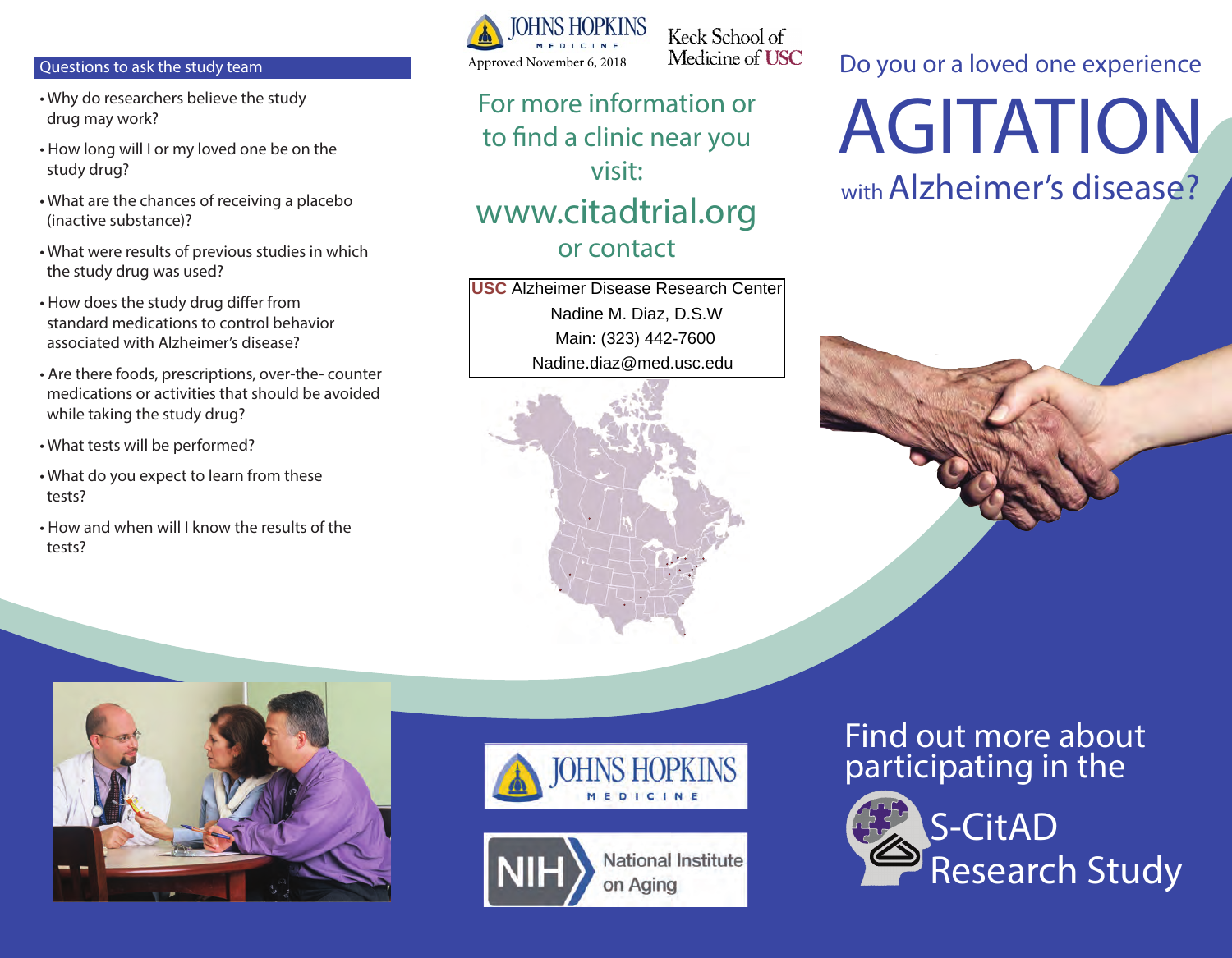#### Questions to ask the study team

- Why do researchers believe the study drug may work?
- How long will I or my loved one be on the study drug?
- What are the chances of receiving a placebo (inactive substance)?
- What were results of previous studies in which the study drug was used?
- How does the study drug differ from standard medications to control behavior associated with Alzheimer's disease?
- Are there foods, prescriptions, over-the- counter medications or activities that should be avoided while taking the study drug?
- What tests will be performed?
- What do you expect to learn from these tests?
- How and when will I know the results of the tests?



Keck School of Medicine of USC

# For more information or to find a clinic near you visit: www.citadtrial.org or contact

Nadine M. Diaz, D.S.W **USC** Alzheimer Disease Research Center Main: (323) 442-7600 Nadine.diaz@med.usc.edu



Do you or a loved one experience

AGITATION

with Alzheimer's disease?







## Find out more about participating in the